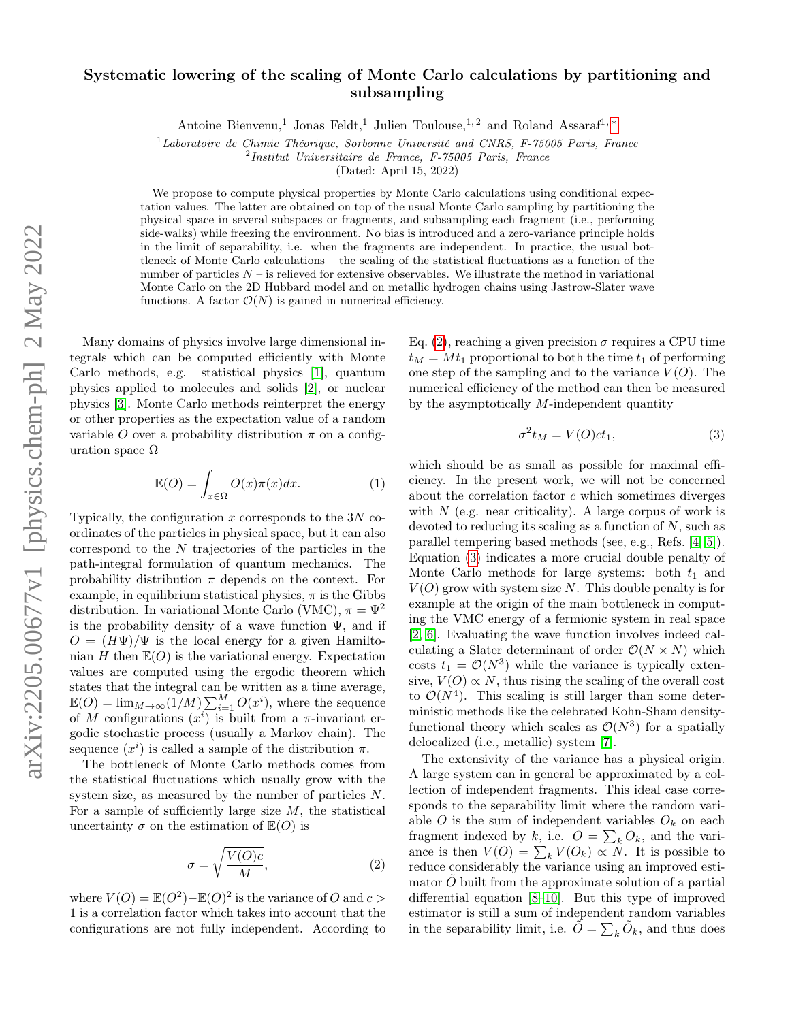## Systematic lowering of the scaling of Monte Carlo calculations by partitioning and subsampling

Antoine Bienvenu,<sup>1</sup> Jonas Feldt,<sup>1</sup> Julien Toulouse,<sup>1, 2</sup> and Roland Assaraf<sup>1,\*</sup>

 $1$ Laboratoire de Chimie Théorique, Sorbonne Université and CNRS, F-75005 Paris, France

2 Institut Universitaire de France, F-75005 Paris, France

(Dated: April 15, 2022)

We propose to compute physical properties by Monte Carlo calculations using conditional expectation values. The latter are obtained on top of the usual Monte Carlo sampling by partitioning the physical space in several subspaces or fragments, and subsampling each fragment (i.e., performing side-walks) while freezing the environment. No bias is introduced and a zero-variance principle holds in the limit of separability, i.e. when the fragments are independent. In practice, the usual bottleneck of Monte Carlo calculations – the scaling of the statistical fluctuations as a function of the number of particles  $N-$  is relieved for extensive observables. We illustrate the method in variational Monte Carlo on the 2D Hubbard model and on metallic hydrogen chains using Jastrow-Slater wave functions. A factor  $\mathcal{O}(N)$  is gained in numerical efficiency.

Many domains of physics involve large dimensional integrals which can be computed efficiently with Monte Carlo methods, e.g. statistical physics [\[1\]](#page-3-1), quantum physics applied to molecules and solids [\[2\]](#page-4-0), or nuclear physics [\[3\]](#page-4-1). Monte Carlo methods reinterpret the energy or other properties as the expectation value of a random variable O over a probability distribution  $\pi$  on a configuration space  $Ω$ 

<span id="page-0-2"></span>
$$
\mathbb{E}(O) = \int_{x \in \Omega} O(x)\pi(x)dx.
$$
 (1)

Typically, the configuration  $x$  corresponds to the  $3N$  coordinates of the particles in physical space, but it can also correspond to the N trajectories of the particles in the path-integral formulation of quantum mechanics. The probability distribution  $\pi$  depends on the context. For example, in equilibrium statistical physics,  $\pi$  is the Gibbs distribution. In variational Monte Carlo (VMC),  $\pi = \Psi^2$ is the probability density of a wave function  $\Psi$ , and if  $O = (H\Psi)/\Psi$  is the local energy for a given Hamiltonian H then  $\mathbb{E}(O)$  is the variational energy. Expectation values are computed using the ergodic theorem which states that the integral can be written as a time average,  $\mathbb{E}(O) = \lim_{M \to \infty} (1/M) \sum_{i=1}^{M} O(x^i)$ , where the sequence of M configurations  $(x^i)$  is built from a  $\pi$ -invariant ergodic stochastic process (usually a Markov chain). The sequence  $(x^{i})$  is called a sample of the distribution  $\pi$ .

The bottleneck of Monte Carlo methods comes from the statistical fluctuations which usually grow with the system size, as measured by the number of particles N. For a sample of sufficiently large size  $M$ , the statistical uncertainty  $\sigma$  on the estimation of  $\mathbb{E}(O)$  is

<span id="page-0-0"></span>
$$
\sigma = \sqrt{\frac{V(O)c}{M}},\tag{2}
$$

where  $V(O) = \mathbb{E}(O^2) - \mathbb{E}(O)^2$  is the variance of O and  $c >$ 1 is a correlation factor which takes into account that the configurations are not fully independent. According to Eq. [\(2\)](#page-0-0), reaching a given precision  $\sigma$  requires a CPU time  $t_M = Mt_1$  proportional to both the time  $t_1$  of performing one step of the sampling and to the variance  $V(O)$ . The numerical efficiency of the method can then be measured by the asymptotically M-independent quantity

<span id="page-0-1"></span>
$$
\sigma^2 t_M = V(O)ct_1,\tag{3}
$$

which should be as small as possible for maximal efficiency. In the present work, we will not be concerned about the correlation factor  $c$  which sometimes diverges with  $N$  (e.g. near criticality). A large corpus of work is devoted to reducing its scaling as a function of  $N$ , such as parallel tempering based methods (see, e.g., Refs. [\[4,](#page-4-2) [5\]](#page-4-3)). Equation [\(3\)](#page-0-1) indicates a more crucial double penalty of Monte Carlo methods for large systems: both  $t_1$  and  $V(O)$  grow with system size N. This double penalty is for example at the origin of the main bottleneck in computing the VMC energy of a fermionic system in real space [\[2,](#page-4-0) [6\]](#page-4-4). Evaluating the wave function involves indeed calculating a Slater determinant of order  $\mathcal{O}(N \times N)$  which costs  $t_1 = \mathcal{O}(N^3)$  while the variance is typically extensive,  $V(O) \propto N$ , thus rising the scaling of the overall cost to  $\mathcal{O}(N^4)$ . This scaling is still larger than some deterministic methods like the celebrated Kohn-Sham densityfunctional theory which scales as  $\mathcal{O}(N^3)$  for a spatially delocalized (i.e., metallic) system [\[7\]](#page-4-5).

The extensivity of the variance has a physical origin. A large system can in general be approximated by a collection of independent fragments. This ideal case corresponds to the separability limit where the random variable O is the sum of independent variables  $O_k$  on each fragment indexed by k, i.e.  $O = \sum_{k} O_k$ , and the variance is then  $V(O) = \sum_{k} V(O_k) \propto N$ . It is possible to reduce considerably the variance using an improved estimator  $O$  built from the approximate solution of a partial differential equation [\[8](#page-4-6)[–10\]](#page-4-7). But this type of improved estimator is still a sum of independent random variables in the separability limit, i.e.  $\tilde{O} = \sum_{k} \tilde{O}_k$ , and thus does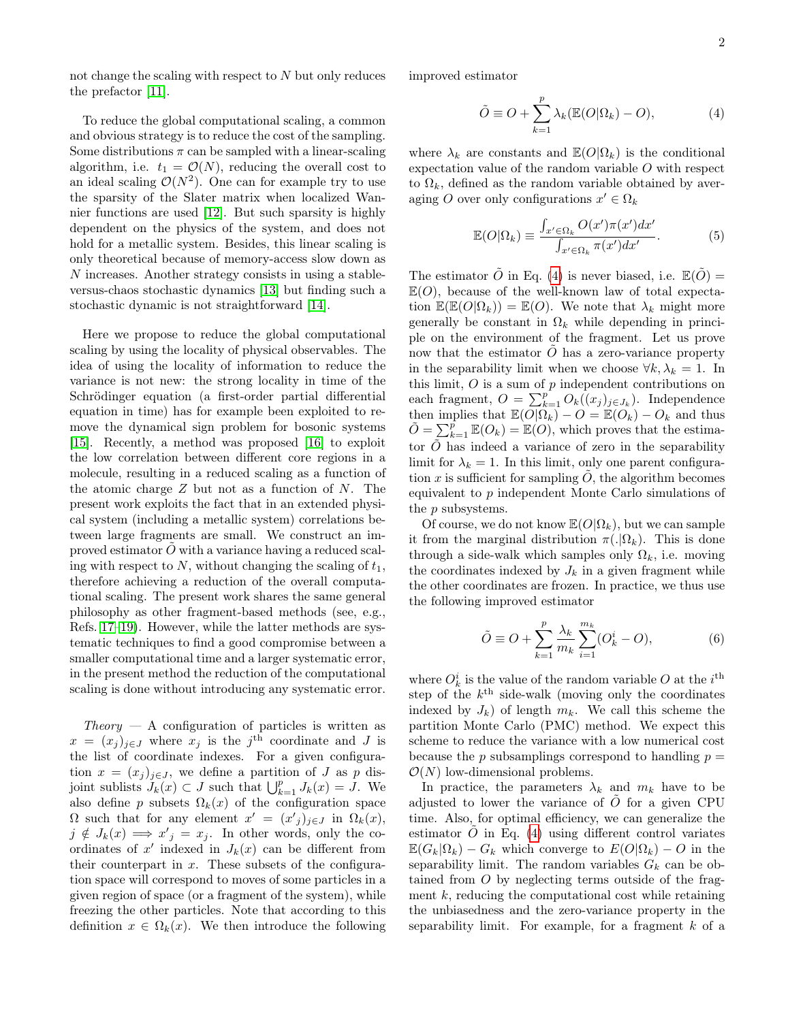not change the scaling with respect to N but only reduces the prefactor [\[11\]](#page-4-8).

To reduce the global computational scaling, a common and obvious strategy is to reduce the cost of the sampling. Some distributions  $\pi$  can be sampled with a linear-scaling algorithm, i.e.  $t_1 = \mathcal{O}(N)$ , reducing the overall cost to an ideal scaling  $\mathcal{O}(N^2)$ . One can for example try to use the sparsity of the Slater matrix when localized Wannier functions are used [\[12\]](#page-4-9). But such sparsity is highly dependent on the physics of the system, and does not hold for a metallic system. Besides, this linear scaling is only theoretical because of memory-access slow down as N increases. Another strategy consists in using a stableversus-chaos stochastic dynamics [\[13\]](#page-4-10) but finding such a stochastic dynamic is not straightforward [\[14\]](#page-4-11).

Here we propose to reduce the global computational scaling by using the locality of physical observables. The idea of using the locality of information to reduce the variance is not new: the strong locality in time of the Schrödinger equation (a first-order partial differential equation in time) has for example been exploited to remove the dynamical sign problem for bosonic systems [\[15\]](#page-4-12). Recently, a method was proposed [\[16\]](#page-4-13) to exploit the low correlation between different core regions in a molecule, resulting in a reduced scaling as a function of the atomic charge  $Z$  but not as a function of  $N$ . The present work exploits the fact that in an extended physical system (including a metallic system) correlations between large fragments are small. We construct an improved estimator  $O$  with a variance having a reduced scaling with respect to  $N$ , without changing the scaling of  $t_1$ , therefore achieving a reduction of the overall computational scaling. The present work shares the same general philosophy as other fragment-based methods (see, e.g., Refs. [17](#page-4-14)[–19\)](#page-4-15). However, while the latter methods are systematic techniques to find a good compromise between a smaller computational time and a larger systematic error, in the present method the reduction of the computational scaling is done without introducing any systematic error.

 $Theory - A$  configuration of particles is written as  $x = (x_j)_{j \in J}$  where  $x_j$  is the j<sup>th</sup> coordinate and J is the list of coordinate indexes. For a given configuration  $x = (x_j)_{j \in J}$ , we define a partition of J as p disjoint sublists  $J_k(x) \subset J$  such that  $\bigcup_{k=1}^p J_k(x) = J$ . We also define p subsets  $\Omega_k(x)$  of the configuration space  $\Omega$  such that for any element  $x' = (x'_j)_{j \in J}$  in  $\Omega_k(x)$ ,  $j \notin J_k(x) \Longrightarrow x'_{j} = x_{j}$ . In other words, only the coordinates of  $x'$  indexed in  $J_k(x)$  can be different from their counterpart in  $x$ . These subsets of the configuration space will correspond to moves of some particles in a given region of space (or a fragment of the system), while freezing the other particles. Note that according to this definition  $x \in \Omega_k(x)$ . We then introduce the following

improved estimator

<span id="page-1-0"></span>
$$
\tilde{O} \equiv O + \sum_{k=1}^{p} \lambda_k (\mathbb{E}(O|\Omega_k) - O), \tag{4}
$$

where  $\lambda_k$  are constants and  $\mathbb{E}(O|\Omega_k)$  is the conditional expectation value of the random variable O with respect to  $\Omega_k$ , defined as the random variable obtained by averaging O over only configurations  $x' \in \Omega_k$ 

$$
\mathbb{E}(O|\Omega_k) \equiv \frac{\int_{x' \in \Omega_k} O(x')\pi(x')dx'}{\int_{x' \in \Omega_k} \pi(x')dx'}.
$$
 (5)

The estimator  $\tilde{O}$  in Eq. [\(4\)](#page-1-0) is never biased, i.e.  $\mathbb{E}(\tilde{O})=$  $E(O)$ , because of the well-known law of total expectation  $\mathbb{E}(\mathbb{E}(O|\Omega_k)) = \mathbb{E}(O)$ . We note that  $\lambda_k$  might more generally be constant in  $\Omega_k$  while depending in principle on the environment of the fragment. Let us prove now that the estimator  $\hat{O}$  has a zero-variance property in the separability limit when we choose  $\forall k, \lambda_k = 1$ . In this limit,  $O$  is a sum of  $p$  independent contributions on each fragment,  $O = \sum_{k=1}^{p} O_k((x_j)_{j \in J_k})$ . Independence then implies that  $\mathbb{E}(O|\Omega_k) - O = \mathbb{E}(O_k) - O_k$  and thus  $\tilde{O} = \sum_{k=1}^{p} \mathbb{E}(O_k) = \mathbb{E}(O)$ , which proves that the estimator  $\tilde{O}$  has indeed a variance of zero in the separability limit for  $\lambda_k = 1$ . In this limit, only one parent configuration x is sufficient for sampling  $O$ , the algorithm becomes equivalent to p independent Monte Carlo simulations of the *p* subsystems.

Of course, we do not know  $\mathbb{E}(O|\Omega_k)$ , but we can sample it from the marginal distribution  $\pi(.|\Omega_k)$ . This is done through a side-walk which samples only  $\Omega_k$ , i.e. moving the coordinates indexed by  $J_k$  in a given fragment while the other coordinates are frozen. In practice, we thus use the following improved estimator

<span id="page-1-1"></span>
$$
\tilde{O} \equiv O + \sum_{k=1}^{p} \frac{\lambda_k}{m_k} \sum_{i=1}^{m_k} (O_k^i - O), \tag{6}
$$

where  $O_k^i$  is the value of the random variable O at the i<sup>th</sup> step of the  $k^{\text{th}}$  side-walk (moving only the coordinates indexed by  $J_k$ ) of length  $m_k$ . We call this scheme the partition Monte Carlo (PMC) method. We expect this scheme to reduce the variance with a low numerical cost because the p subsamplings correspond to handling  $p =$  $\mathcal{O}(N)$  low-dimensional problems.

In practice, the parameters  $\lambda_k$  and  $m_k$  have to be adjusted to lower the variance of  $O$  for a given CPU time. Also, for optimal efficiency, we can generalize the estimator  $O$  in Eq. [\(4\)](#page-1-0) using different control variates  $\mathbb{E}(G_k|\Omega_k) - G_k$  which converge to  $E(O|\Omega_k) - O$  in the separability limit. The random variables  $G_k$  can be obtained from O by neglecting terms outside of the fragment  $k$ , reducing the computational cost while retaining the unbiasedness and the zero-variance property in the separability limit. For example, for a fragment  $k$  of a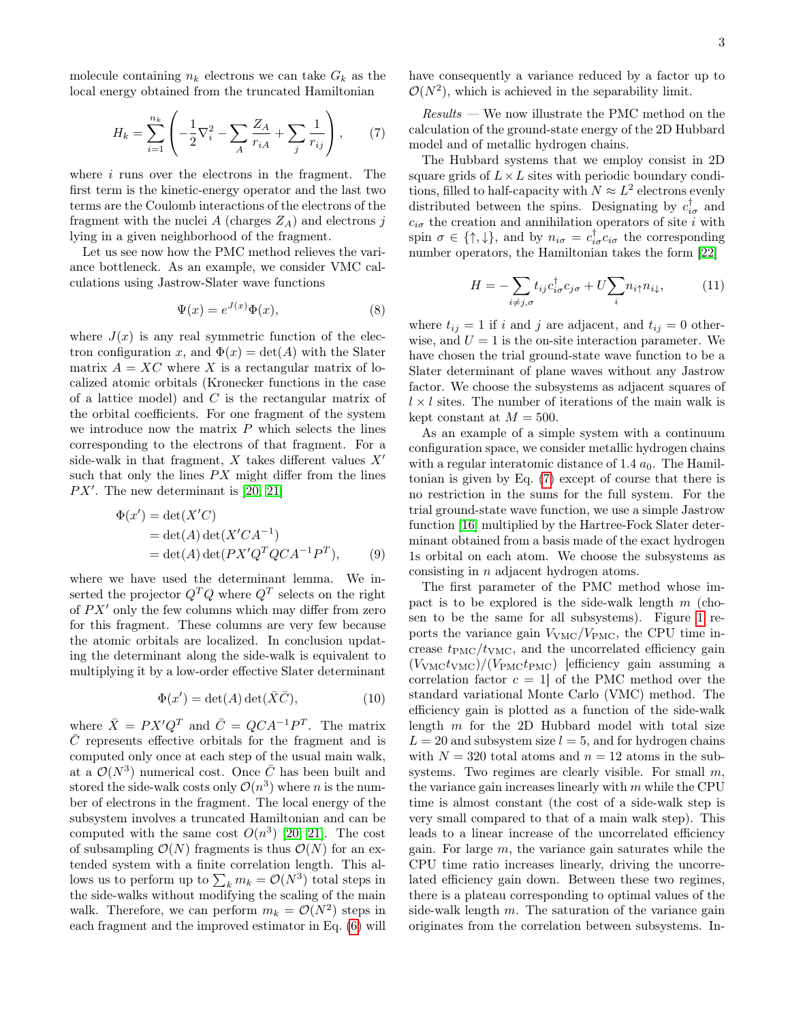molecule containing  $n_k$  electrons we can take  $G_k$  as the local energy obtained from the truncated Hamiltonian

<span id="page-2-0"></span>
$$
H_k = \sum_{i=1}^{n_k} \left( -\frac{1}{2} \nabla_i^2 - \sum_A \frac{Z_A}{r_{iA}} + \sum_j \frac{1}{r_{ij}} \right), \qquad (7)
$$

where *i* runs over the electrons in the fragment. The first term is the kinetic-energy operator and the last two terms are the Coulomb interactions of the electrons of the fragment with the nuclei A (charges  $Z_A$ ) and electrons j lying in a given neighborhood of the fragment.

Let us see now how the PMC method relieves the variance bottleneck. As an example, we consider VMC calculations using Jastrow-Slater wave functions

$$
\Psi(x) = e^{J(x)}\Phi(x),\tag{8}
$$

where  $J(x)$  is any real symmetric function of the electron configuration x, and  $\Phi(x) = \det(A)$  with the Slater matrix  $A = XC$  where X is a rectangular matrix of localized atomic orbitals (Kronecker functions in the case of a lattice model) and  $C$  is the rectangular matrix of the orbital coefficients. For one fragment of the system we introduce now the matrix  $P$  which selects the lines corresponding to the electrons of that fragment. For a side-walk in that fragment,  $X$  takes different values  $X'$ such that only the lines  $PX$  might differ from the lines  $PX'$ . The new determinant is [\[20,](#page-4-16) [21\]](#page-4-17)

$$
\Phi(x') = \det(X'C)
$$
  
= 
$$
\det(A) \det(X'CA^{-1})
$$
  
= 
$$
\det(A) \det(PX'Q^TQCA^{-1}P^T),
$$
 (9)

where we have used the determinant lemma. We inserted the projector  $Q^T Q$  where  $Q^T$  selects on the right of  $PX'$  only the few columns which may differ from zero for this fragment. These columns are very few because the atomic orbitals are localized. In conclusion updating the determinant along the side-walk is equivalent to multiplying it by a low-order effective Slater determinant

$$
\Phi(x') = \det(A)\det(\bar{X}\bar{C}),\tag{10}
$$

where  $\bar{X} = PX'Q^T$  and  $\bar{C} = QCA^{-1}P^T$ . The matrix  $\overline{C}$  represents effective orbitals for the fragment and is computed only once at each step of the usual main walk, at a  $\mathcal{O}(N^3)$  numerical cost. Once  $\overline{C}$  has been built and stored the side-walk costs only  $\mathcal{O}(n^3)$  where n is the number of electrons in the fragment. The local energy of the subsystem involves a truncated Hamiltonian and can be computed with the same cost  $O(n^3)$  [\[20,](#page-4-16) [21\]](#page-4-17). The cost of subsampling  $\mathcal{O}(N)$  fragments is thus  $\mathcal{O}(N)$  for an extended system with a finite correlation length. This allows us to perform up to  $\sum_{k} m_k = \mathcal{O}(N^3)$  total steps in the side-walks without modifying the scaling of the main walk. Therefore, we can perform  $m_k = \mathcal{O}(N^2)$  steps in each fragment and the improved estimator in Eq. [\(6\)](#page-1-1) will have consequently a variance reduced by a factor up to  $\mathcal{O}(N^2)$ , which is achieved in the separability limit.

 $Results$  — We now illustrate the PMC method on the calculation of the ground-state energy of the 2D Hubbard model and of metallic hydrogen chains.

The Hubbard systems that we employ consist in 2D square grids of  $L \times L$  sites with periodic boundary conditions, filled to half-capacity with  $N \approx L^2$  electrons evenly distributed between the spins. Designating by  $c_{i\sigma}^{\dagger}$  and  $c_{i\sigma}$  the creation and annihilation operators of site i with spin  $\sigma \in \{\uparrow, \downarrow\}$ , and by  $n_{i\sigma} = c_{i\sigma}^{\dagger} c_{i\sigma}$  the corresponding number operators, the Hamiltonian takes the form [\[22\]](#page-4-18)

$$
H = -\sum_{i \neq j,\sigma} t_{ij} c_{i\sigma}^{\dagger} c_{j\sigma} + U \sum_{i} n_{i\uparrow} n_{i\downarrow}, \tag{11}
$$

where  $t_{ij} = 1$  if i and j are adjacent, and  $t_{ij} = 0$  otherwise, and  $U = 1$  is the on-site interaction parameter. We have chosen the trial ground-state wave function to be a Slater determinant of plane waves without any Jastrow factor. We choose the subsystems as adjacent squares of  $l \times l$  sites. The number of iterations of the main walk is kept constant at  $M = 500$ .

As an example of a simple system with a continuum configuration space, we consider metallic hydrogen chains with a regular interatomic distance of 1.4  $a_0$ . The Hamiltonian is given by Eq. [\(7\)](#page-2-0) except of course that there is no restriction in the sums for the full system. For the trial ground-state wave function, we use a simple Jastrow function [\[16\]](#page-4-13) multiplied by the Hartree-Fock Slater determinant obtained from a basis made of the exact hydrogen 1s orbital on each atom. We choose the subsystems as consisting in n adjacent hydrogen atoms.

The first parameter of the PMC method whose impact is to be explored is the side-walk length  $m$  (chosen to be the same for all subsystems). Figure [1](#page-3-2) reports the variance gain  $V_{\text{VMC}}/V_{\text{PMC}}$ , the CPU time increase  $t_{\rm PMC}/t_{\rm VMC}$ , and the uncorrelated efficiency gain  $(V<sub>VMC</sub>)/ (V<sub>PMC</sub> t<sub>PMC</sub>)$  [efficiency gain assuming a correlation factor  $c = 1$  of the PMC method over the standard variational Monte Carlo (VMC) method. The efficiency gain is plotted as a function of the side-walk length  $m$  for the 2D Hubbard model with total size  $L = 20$  and subsystem size  $l = 5$ , and for hydrogen chains with  $N = 320$  total atoms and  $n = 12$  atoms in the subsystems. Two regimes are clearly visible. For small  $m$ , the variance gain increases linearly with  $m$  while the CPU time is almost constant (the cost of a side-walk step is very small compared to that of a main walk step). This leads to a linear increase of the uncorrelated efficiency gain. For large  $m$ , the variance gain saturates while the CPU time ratio increases linearly, driving the uncorrelated efficiency gain down. Between these two regimes, there is a plateau corresponding to optimal values of the side-walk length  $m$ . The saturation of the variance gain originates from the correlation between subsystems. In-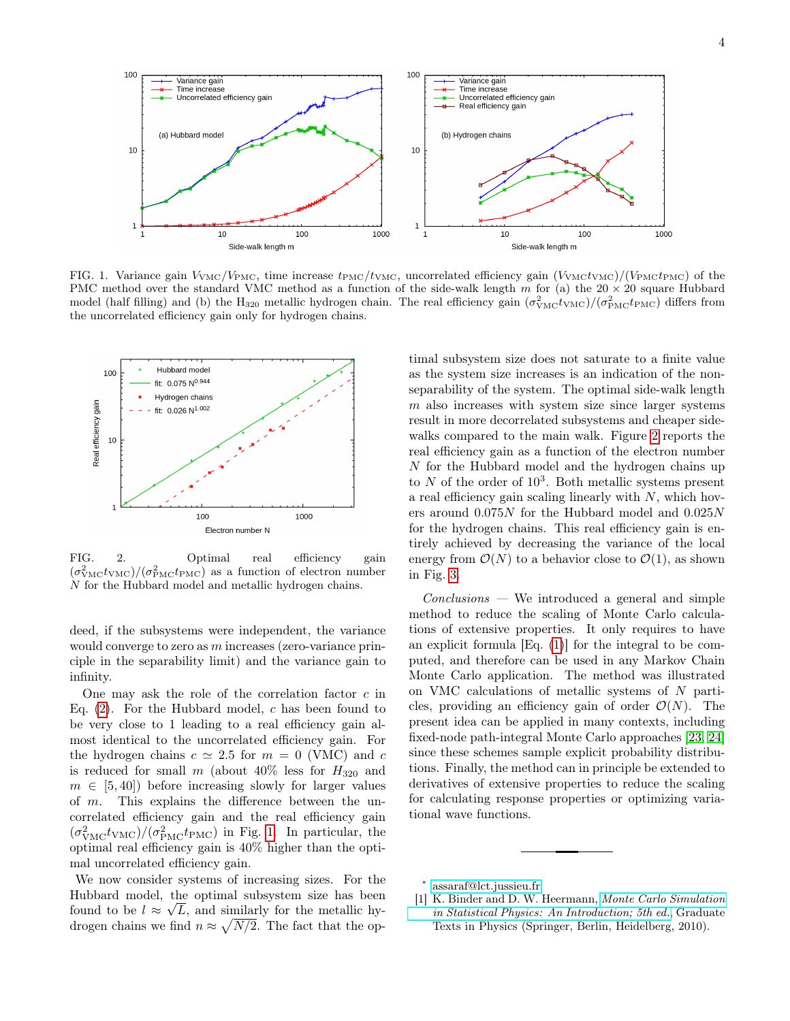

<span id="page-3-2"></span>FIG. 1. Variance gain  $V_{\text{VMC}}/V_{\text{PMC}}$ , time increase  $t_{\text{PMC}}/t_{\text{VMC}}$ , uncorrelated efficiency gain  $(V_{\text{VMC}}t_{\text{VMC}})/(V_{\text{PMC}}t_{\text{PMC}})$  of the PMC method over the standard VMC method as a function of the side-walk length m for (a) the  $20 \times 20$  square Hubbard model (half filling) and (b) the H<sub>320</sub> metallic hydrogen chain. The real efficiency gain  $(\sigma_{\rm YMC}^2 t_{\rm YMC})/(\sigma_{\rm PMC}^2 t_{\rm PMC})$  differs from the uncorrelated efficiency gain only for hydrogen chains.



<span id="page-3-3"></span>FIG. 2. Optimal real efficiency gain  $(\sigma_{\text{VMC}}^2 t_{\text{VMC}}) / (\sigma_{\text{PMC}}^2 t_{\text{PMC}})$  as a function of electron number N for the Hubbard model and metallic hydrogen chains.

deed, if the subsystems were independent, the variance would converge to zero as m increases (zero-variance principle in the separability limit) and the variance gain to infinity.

One may ask the role of the correlation factor  $c$  in Eq.  $(2)$ . For the Hubbard model, c has been found to be very close to 1 leading to a real efficiency gain almost identical to the uncorrelated efficiency gain. For the hydrogen chains  $c \simeq 2.5$  for  $m = 0$  (VMC) and c is reduced for small m (about  $40\%$  less for  $H_{320}$  and  $m \in [5, 40]$  before increasing slowly for larger values of  $m$ . This explains the difference between the uncorrelated efficiency gain and the real efficiency gain  $(\sigma_{\text{VMC}}^2 t_{\text{VMC}})/(\sigma_{\text{PMC}}^2 t_{\text{PMC}})$  in Fig. [1.](#page-3-2) In particular, the optimal real efficiency gain is 40% higher than the optimal uncorrelated efficiency gain.

We now consider systems of increasing sizes. For the Hubbard model, the optimal subsystem size has been found to be  $l \approx \sqrt{L}$ , and similarly for the metallic hydrogen chains we find  $n \approx \sqrt{N/2}$ . The fact that the op-

timal subsystem size does not saturate to a finite value as the system size increases is an indication of the nonseparability of the system. The optimal side-walk length  $m$  also increases with system size since larger systems result in more decorrelated subsystems and cheaper sidewalks compared to the main walk. Figure [2](#page-3-3) reports the real efficiency gain as a function of the electron number N for the Hubbard model and the hydrogen chains up to  $N$  of the order of  $10^3$ . Both metallic systems present a real efficiency gain scaling linearly with  $N$ , which hovers around 0.075N for the Hubbard model and 0.025N for the hydrogen chains. This real efficiency gain is entirely achieved by decreasing the variance of the local energy from  $\mathcal{O}(N)$  to a behavior close to  $\mathcal{O}(1)$ , as shown in Fig. [3.](#page-4-19)

 $Conclusions - We introduced a general and simple$ method to reduce the scaling of Monte Carlo calculations of extensive properties. It only requires to have an explicit formula [Eq. [\(1\)](#page-0-2)] for the integral to be computed, and therefore can be used in any Markov Chain Monte Carlo application. The method was illustrated on VMC calculations of metallic systems of N particles, providing an efficiency gain of order  $\mathcal{O}(N)$ . The present idea can be applied in many contexts, including fixed-node path-integral Monte Carlo approaches [\[23,](#page-4-20) [24\]](#page-4-21) since these schemes sample explicit probability distributions. Finally, the method can in principle be extended to derivatives of extensive properties to reduce the scaling for calculating response properties or optimizing variational wave functions.

<span id="page-3-0"></span>∗ [assaraf@lct.jussieu.fr](mailto:assaraf@lct.jussieu.fr)

<span id="page-3-1"></span>[1] K. Binder and D. W. Heermann, [Monte Carlo Simulation](http://dx.doi.org/10.1007/978-3-642-03163-2) [in Statistical Physics: An Introduction; 5th ed.](http://dx.doi.org/10.1007/978-3-642-03163-2), Graduate Texts in Physics (Springer, Berlin, Heidelberg, 2010).